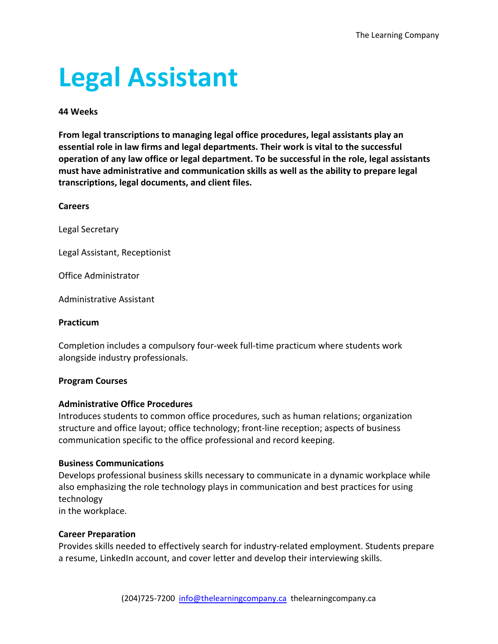# **Legal Assistant**

## **44 Weeks**

**From legal transcriptions to managing legal office procedures, legal assistants play an essential role in law firms and legal departments. Their work is vital to the successful operation of any law office or legal department. To be successful in the role, legal assistants must have administrative and communication skills as well as the ability to prepare legal transcriptions, legal documents, and client files.**

## **Careers**

Legal Secretary

Legal Assistant, Receptionist

Office Administrator

Administrative Assistant

## **Practicum**

Completion includes a compulsory four-week full-time practicum where students work alongside industry professionals.

## **Program Courses**

## **Administrative Office Procedures**

Introduces students to common office procedures, such as human relations; organization structure and office layout; office technology; front-line reception; aspects of business communication specific to the office professional and record keeping.

## **Business Communications**

Develops professional business skills necessary to communicate in a dynamic workplace while also emphasizing the role technology plays in communication and best practices for using technology in the workplace.

## **Career Preparation**

Provides skills needed to effectively search for industry-related employment. Students prepare a resume, LinkedIn account, and cover letter and develop their interviewing skills.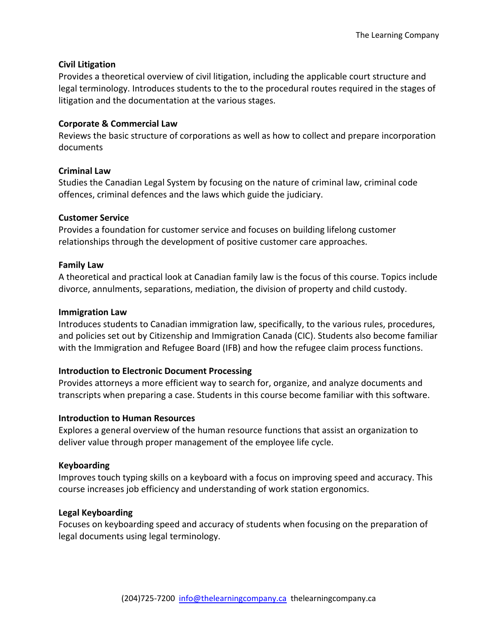# **Civil Litigation**

Provides a theoretical overview of civil litigation, including the applicable court structure and legal terminology. Introduces students to the to the procedural routes required in the stages of litigation and the documentation at the various stages.

# **Corporate & Commercial Law**

Reviews the basic structure of corporations as well as how to collect and prepare incorporation documents

# **Criminal Law**

Studies the Canadian Legal System by focusing on the nature of criminal law, criminal code offences, criminal defences and the laws which guide the judiciary.

# **Customer Service**

Provides a foundation for customer service and focuses on building lifelong customer relationships through the development of positive customer care approaches.

# **Family Law**

A theoretical and practical look at Canadian family law is the focus of this course. Topics include divorce, annulments, separations, mediation, the division of property and child custody.

# **Immigration Law**

Introduces students to Canadian immigration law, specifically, to the various rules, procedures, and policies set out by Citizenship and Immigration Canada (CIC). Students also become familiar with the Immigration and Refugee Board (IFB) and how the refugee claim process functions.

# **Introduction to Electronic Document Processing**

Provides attorneys a more efficient way to search for, organize, and analyze documents and transcripts when preparing a case. Students in this course become familiar with this software.

# **Introduction to Human Resources**

Explores a general overview of the human resource functions that assist an organization to deliver value through proper management of the employee life cycle.

# **Keyboarding**

Improves touch typing skills on a keyboard with a focus on improving speed and accuracy. This course increases job efficiency and understanding of work station ergonomics.

# **Legal Keyboarding**

Focuses on keyboarding speed and accuracy of students when focusing on the preparation of legal documents using legal terminology.